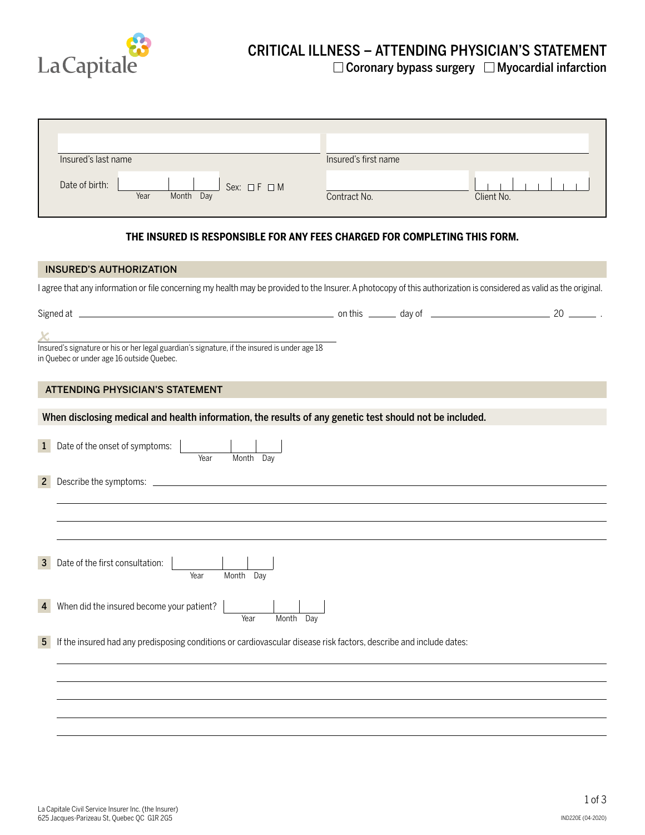

## CRITICAL ILLNESS – ATTENDING PHYSICIAN'S STATEMENT  $\Box$  Coronary bypass surgery  $\Box$  Myocardial infarction

| Insured's last name                                         | Insured's first name       |  |
|-------------------------------------------------------------|----------------------------|--|
| Date of birth:<br>Sex: $\Box F \Box M$<br>Year<br>Month Day | Client No.<br>Contract No. |  |

## **THE INSURED IS RESPONSIBLE FOR ANY FEES CHARGED FOR COMPLETING THIS FORM.**

| <b>INSURED'S AUTHORIZATION</b>                                                                                                                                      |  |  |
|---------------------------------------------------------------------------------------------------------------------------------------------------------------------|--|--|
| I agree that any information or file concerning my health may be provided to the Insurer. A photocopy of this authorization is considered as valid as the original. |  |  |
|                                                                                                                                                                     |  |  |
|                                                                                                                                                                     |  |  |
| Insured's signature or his or her legal guardian's signature, if the insured is under age 18<br>in Quebec or under age 16 outside Quebec.                           |  |  |
| <b>ATTENDING PHYSICIAN'S STATEMENT</b>                                                                                                                              |  |  |
| When disclosing medical and health information, the results of any genetic test should not be included.                                                             |  |  |
| Date of the onset of symptoms:<br>$\mathbf{1}$<br>Month Day<br>Year                                                                                                 |  |  |
| $\mathbf{2}$                                                                                                                                                        |  |  |
|                                                                                                                                                                     |  |  |
|                                                                                                                                                                     |  |  |
| Date of the first consultation:<br>$\mathbf{3}$<br>Year<br>Month Dav                                                                                                |  |  |
| When did the insured become your patient?<br>$\overline{4}$<br>Month Day<br>Year                                                                                    |  |  |
| If the insured had any predisposing conditions or cardiovascular disease risk factors, describe and include dates:<br>5 <sup>5</sup>                                |  |  |
|                                                                                                                                                                     |  |  |
|                                                                                                                                                                     |  |  |
|                                                                                                                                                                     |  |  |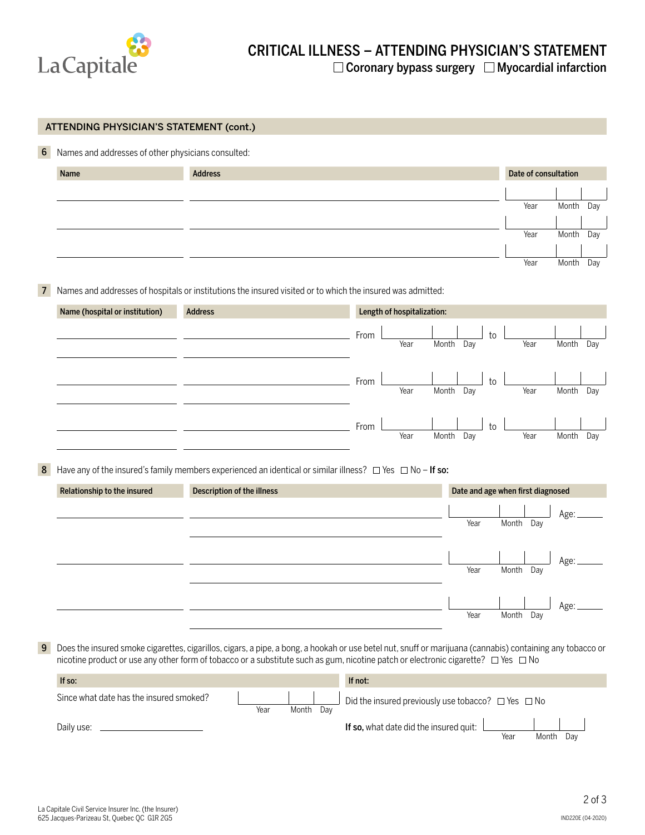

|                                | Names and addresses of other physicians consulted:                                                         |                                                                                                                                                           |                      |
|--------------------------------|------------------------------------------------------------------------------------------------------------|-----------------------------------------------------------------------------------------------------------------------------------------------------------|----------------------|
|                                |                                                                                                            |                                                                                                                                                           |                      |
| Name                           | <b>Address</b>                                                                                             |                                                                                                                                                           | Date of consultation |
|                                |                                                                                                            |                                                                                                                                                           |                      |
|                                |                                                                                                            | Year                                                                                                                                                      | Month<br>Day         |
|                                |                                                                                                            |                                                                                                                                                           |                      |
|                                |                                                                                                            | Year                                                                                                                                                      | Month<br>Day         |
|                                |                                                                                                            | Year                                                                                                                                                      | Month<br>Day         |
|                                |                                                                                                            |                                                                                                                                                           |                      |
|                                | Names and addresses of hospitals or institutions the insured visited or to which the insured was admitted: |                                                                                                                                                           |                      |
| Name (hospital or institution) | <b>Address</b>                                                                                             | Length of hospitalization:                                                                                                                                |                      |
|                                |                                                                                                            |                                                                                                                                                           |                      |
|                                |                                                                                                            | From<br>to<br>Year<br>Month<br>Day<br>Year                                                                                                                | Month<br>Day         |
|                                |                                                                                                            |                                                                                                                                                           |                      |
|                                |                                                                                                            |                                                                                                                                                           |                      |
|                                |                                                                                                            | to<br>From<br>Year<br>Year<br>Month<br>Day                                                                                                                | Month<br>Day         |
|                                |                                                                                                            |                                                                                                                                                           |                      |
|                                |                                                                                                            | to<br>From                                                                                                                                                |                      |
|                                |                                                                                                            | Year<br>Day<br>Year<br>Month                                                                                                                              | Month<br>Day         |
|                                |                                                                                                            |                                                                                                                                                           |                      |
|                                |                                                                                                            |                                                                                                                                                           |                      |
|                                |                                                                                                            | Have any of the insured's family members experienced an identical or similar illness? $\Box$ Yes $\Box$ No - If so:                                       |                      |
| Relationship to the insured    | Description of the illness                                                                                 | Date and age when first diagnosed                                                                                                                         |                      |
|                                |                                                                                                            |                                                                                                                                                           |                      |
|                                |                                                                                                            | Year<br>Month Day                                                                                                                                         | Age:                 |
|                                |                                                                                                            |                                                                                                                                                           |                      |
|                                |                                                                                                            |                                                                                                                                                           |                      |
|                                |                                                                                                            | Year<br>Month<br>Day                                                                                                                                      | Age:                 |
|                                |                                                                                                            |                                                                                                                                                           |                      |
|                                |                                                                                                            |                                                                                                                                                           |                      |
|                                |                                                                                                            | Year<br>Month<br>Day                                                                                                                                      | Age:                 |
|                                |                                                                                                            |                                                                                                                                                           |                      |
|                                |                                                                                                            | Does the insured smoke cigarettes, cigarillos, cigars, a pipe, a bong, a hookah or use betel nut, snuff or marijuana (cannabis) containing any tobacco or |                      |
|                                |                                                                                                            | nicotine product or use any other form of tobacco or a substitute such as gum, nicotine patch or electronic cigarette?  □ Yes □ No                        |                      |

Year Month Day